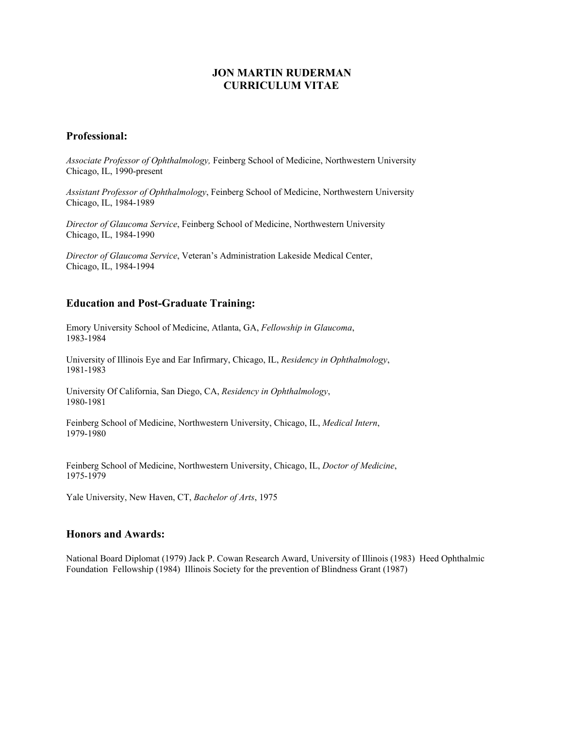## **JON MARTIN RUDERMAN CURRICULUM VITAE**

## **Professional:**

*Associate Professor of Ophthalmology,* Feinberg School of Medicine, Northwestern University Chicago, IL, 1990-present

*Assistant Professor of Ophthalmology*, Feinberg School of Medicine, Northwestern University Chicago, IL, 1984-1989

*Director of Glaucoma Service*, Feinberg School of Medicine, Northwestern University Chicago, IL, 1984-1990

*Director of Glaucoma Service*, Veteran's Administration Lakeside Medical Center, Chicago, IL, 1984-1994

# **Education and Post-Graduate Training:**

Emory University School of Medicine, Atlanta, GA, *Fellowship in Glaucoma*, 1983-1984

University of Illinois Eye and Ear Infirmary, Chicago, IL, *Residency in Ophthalmology*, 1981-1983

University Of California, San Diego, CA, *Residency in Ophthalmology*, 1980-1981

Feinberg School of Medicine, Northwestern University, Chicago, IL, *Medical Intern*, 1979-1980

Feinberg School of Medicine, Northwestern University, Chicago, IL, *Doctor of Medicine*, 1975-1979

Yale University, New Haven, CT, *Bachelor of Arts*, 1975

### **Honors and Awards:**

National Board Diplomat (1979) Jack P. Cowan Research Award, University of Illinois (1983) Heed Ophthalmic Foundation Fellowship (1984) Illinois Society for the prevention of Blindness Grant (1987)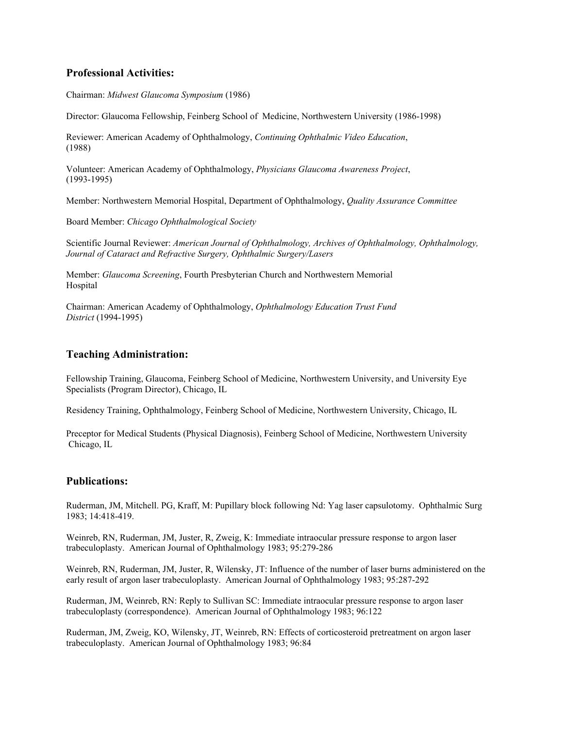## **Professional Activities:**

Chairman: *Midwest Glaucoma Symposium* (1986)

Director: Glaucoma Fellowship, Feinberg School of Medicine, Northwestern University (1986-1998)

Reviewer: American Academy of Ophthalmology, *Continuing Ophthalmic Video Education*, (1988)

Volunteer: American Academy of Ophthalmology, *Physicians Glaucoma Awareness Project*, (1993-1995)

Member: Northwestern Memorial Hospital, Department of Ophthalmology, *Quality Assurance Committee*

Board Member: *Chicago Ophthalmological Society*

Scientific Journal Reviewer: *American Journal of Ophthalmology, Archives of Ophthalmology, Ophthalmology, Journal of Cataract and Refractive Surgery, Ophthalmic Surgery/Lasers*

Member: *Glaucoma Screening*, Fourth Presbyterian Church and Northwestern Memorial Hospital

Chairman: American Academy of Ophthalmology, *Ophthalmology Education Trust Fund District* (1994-1995)

### **Teaching Administration:**

Fellowship Training, Glaucoma, Feinberg School of Medicine, Northwestern University, and University Eye Specialists (Program Director), Chicago, IL

Residency Training, Ophthalmology, Feinberg School of Medicine, Northwestern University, Chicago, IL

Preceptor for Medical Students (Physical Diagnosis), Feinberg School of Medicine, Northwestern University Chicago, IL

### **Publications:**

Ruderman, JM, Mitchell. PG, Kraff, M: Pupillary block following Nd: Yag laser capsulotomy. Ophthalmic Surg 1983; 14:418-419.

Weinreb, RN, Ruderman, JM, Juster, R, Zweig, K: Immediate intraocular pressure response to argon laser trabeculoplasty. American Journal of Ophthalmology 1983; 95:279-286

Weinreb, RN, Ruderman, JM, Juster, R, Wilensky, JT: Influence of the number of laser burns administered on the early result of argon laser trabeculoplasty. American Journal of Ophthalmology 1983; 95:287-292

Ruderman, JM, Weinreb, RN: Reply to Sullivan SC: Immediate intraocular pressure response to argon laser trabeculoplasty (correspondence). American Journal of Ophthalmology 1983; 96:122

Ruderman, JM, Zweig, KO, Wilensky, JT, Weinreb, RN: Effects of corticosteroid pretreatment on argon laser trabeculoplasty. American Journal of Ophthalmology 1983; 96:84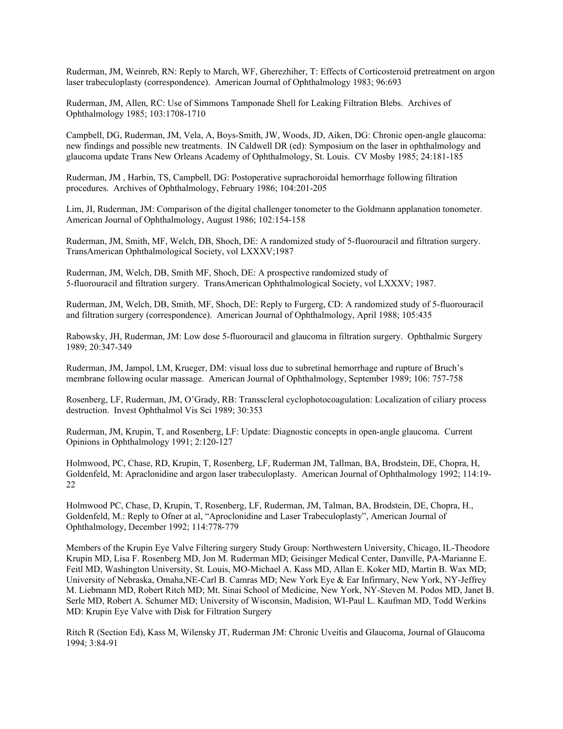Ruderman, JM, Weinreb, RN: Reply to March, WF, Gherezhiher, T: Effects of Corticosteroid pretreatment on argon laser trabeculoplasty (correspondence). American Journal of Ophthalmology 1983; 96:693

Ruderman, JM, Allen, RC: Use of Simmons Tamponade Shell for Leaking Filtration Blebs. Archives of Ophthalmology 1985; 103:1708-1710

Campbell, DG, Ruderman, JM, Vela, A, Boys-Smith, JW, Woods, JD, Aiken, DG: Chronic open-angle glaucoma: new findings and possible new treatments. IN Caldwell DR (ed): Symposium on the laser in ophthalmology and glaucoma update Trans New Orleans Academy of Ophthalmology, St. Louis. CV Mosby 1985; 24:181-185

Ruderman, JM , Harbin, TS, Campbell, DG: Postoperative suprachoroidal hemorrhage following filtration procedures. Archives of Ophthalmology, February 1986; 104:201-205

Lim, JI, Ruderman, JM: Comparison of the digital challenger tonometer to the Goldmann applanation tonometer. American Journal of Ophthalmology, August 1986; 102:154-158

Ruderman, JM, Smith, MF, Welch, DB, Shoch, DE: A randomized study of 5-fluorouracil and filtration surgery. TransAmerican Ophthalmological Society, vol LXXXV;1987

Ruderman, JM, Welch, DB, Smith MF, Shoch, DE: A prospective randomized study of 5-fluorouracil and filtration surgery. TransAmerican Ophthalmological Society, vol LXXXV; 1987.

Ruderman, JM, Welch, DB, Smith, MF, Shoch, DE: Reply to Furgerg, CD: A randomized study of 5-fluorouracil and filtration surgery (correspondence). American Journal of Ophthalmology, April 1988; 105:435

Rabowsky, JH, Ruderman, JM: Low dose 5-fluorouracil and glaucoma in filtration surgery. Ophthalmic Surgery 1989; 20:347-349

Ruderman, JM, Jampol, LM, Krueger, DM: visual loss due to subretinal hemorrhage and rupture of Bruch's membrane following ocular massage. American Journal of Ophthalmology, September 1989; 106: 757-758

Rosenberg, LF, Ruderman, JM, O'Grady, RB: Transscleral cyclophotocoagulation: Localization of ciliary process destruction. Invest Ophthalmol Vis Sci 1989; 30:353

Ruderman, JM, Krupin, T, and Rosenberg, LF: Update: Diagnostic concepts in open-angle glaucoma. Current Opinions in Ophthalmology 1991; 2:120-127

Holmwood, PC, Chase, RD, Krupin, T, Rosenberg, LF, Ruderman JM, Tallman, BA, Brodstein, DE, Chopra, H, Goldenfeld, M: Apraclonidine and argon laser trabeculoplasty. American Journal of Ophthalmology 1992; 114:19- 22

Holmwood PC, Chase, D, Krupin, T, Rosenberg, LF, Ruderman, JM, Talman, BA, Brodstein, DE, Chopra, H., Goldenfeld, M.: Reply to Ofner at al, "Aproclonidine and Laser Trabeculoplasty", American Journal of Ophthalmology, December 1992; 114:778-779

Members of the Krupin Eye Valve Filtering surgery Study Group: Northwestern University, Chicago, IL-Theodore Krupin MD, Lisa F. Rosenberg MD, Jon M. Ruderman MD; Geisinger Medical Center, Danville, PA-Marianne E. Feitl MD, Washington University, St. Louis, MO-Michael A. Kass MD, Allan E. Koker MD, Martin B. Wax MD; University of Nebraska, Omaha,NE-Carl B. Camras MD; New York Eye & Ear Infirmary, New York, NY-Jeffrey M. Liebmann MD, Robert Ritch MD; Mt. Sinai School of Medicine, New York, NY-Steven M. Podos MD, Janet B. Serle MD, Robert A. Schumer MD; University of Wisconsin, Madision, WI-Paul L. Kaufman MD, Todd Werkins MD: Krupin Eye Valve with Disk for Filtration Surgery

Ritch R (Section Ed), Kass M, Wilensky JT, Ruderman JM: Chronic Uveitis and Glaucoma, Journal of Glaucoma 1994; 3:84-91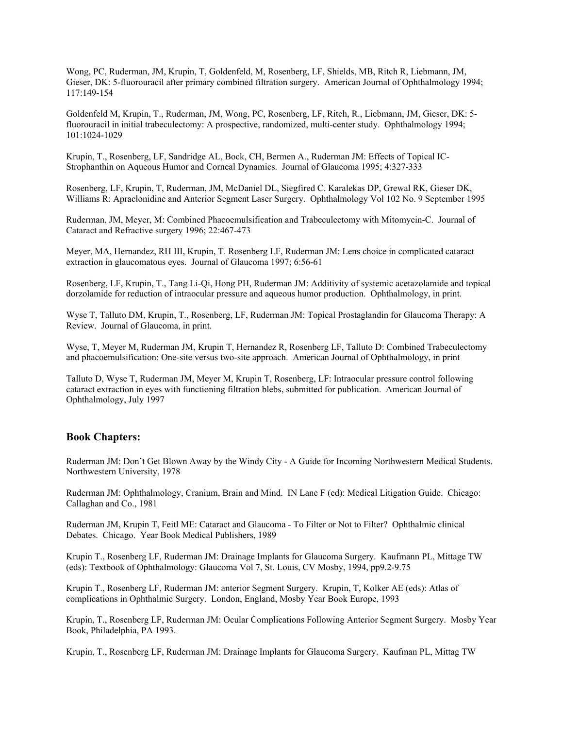Wong, PC, Ruderman, JM, Krupin, T, Goldenfeld, M, Rosenberg, LF, Shields, MB, Ritch R, Liebmann, JM, Gieser, DK: 5-fluorouracil after primary combined filtration surgery. American Journal of Ophthalmology 1994; 117:149-154

Goldenfeld M, Krupin, T., Ruderman, JM, Wong, PC, Rosenberg, LF, Ritch, R., Liebmann, JM, Gieser, DK: 5 fluorouracil in initial trabeculectomy: A prospective, randomized, multi-center study. Ophthalmology 1994; 101:1024-1029

Krupin, T., Rosenberg, LF, Sandridge AL, Bock, CH, Bermen A., Ruderman JM: Effects of Topical IC-Strophanthin on Aqueous Humor and Corneal Dynamics. Journal of Glaucoma 1995; 4:327-333

Rosenberg, LF, Krupin, T, Ruderman, JM, McDaniel DL, Siegfired C. Karalekas DP, Grewal RK, Gieser DK, Williams R: Apraclonidine and Anterior Segment Laser Surgery. Ophthalmology Vol 102 No. 9 September 1995

Ruderman, JM, Meyer, M: Combined Phacoemulsification and Trabeculectomy with Mitomycin-C. Journal of Cataract and Refractive surgery 1996; 22:467-473

Meyer, MA, Hernandez, RH III, Krupin, T. Rosenberg LF, Ruderman JM: Lens choice in complicated cataract extraction in glaucomatous eyes. Journal of Glaucoma 1997; 6:56-61

Rosenberg, LF, Krupin, T., Tang Li-Qi, Hong PH, Ruderman JM: Additivity of systemic acetazolamide and topical dorzolamide for reduction of intraocular pressure and aqueous humor production. Ophthalmology, in print.

Wyse T, Talluto DM, Krupin, T., Rosenberg, LF, Ruderman JM: Topical Prostaglandin for Glaucoma Therapy: A Review. Journal of Glaucoma, in print.

Wyse, T, Meyer M, Ruderman JM, Krupin T, Hernandez R, Rosenberg LF, Talluto D: Combined Trabeculectomy and phacoemulsification: One-site versus two-site approach. American Journal of Ophthalmology, in print

Talluto D, Wyse T, Ruderman JM, Meyer M, Krupin T, Rosenberg, LF: Intraocular pressure control following cataract extraction in eyes with functioning filtration blebs, submitted for publication. American Journal of Ophthalmology, July 1997

#### **Book Chapters:**

Ruderman JM: Don't Get Blown Away by the Windy City - A Guide for Incoming Northwestern Medical Students. Northwestern University, 1978

Ruderman JM: Ophthalmology, Cranium, Brain and Mind. IN Lane F (ed): Medical Litigation Guide. Chicago: Callaghan and Co., 1981

Ruderman JM, Krupin T, Feitl ME: Cataract and Glaucoma - To Filter or Not to Filter? Ophthalmic clinical Debates. Chicago. Year Book Medical Publishers, 1989

Krupin T., Rosenberg LF, Ruderman JM: Drainage Implants for Glaucoma Surgery. Kaufmann PL, Mittage TW (eds): Textbook of Ophthalmology: Glaucoma Vol 7, St. Louis, CV Mosby, 1994, pp9.2-9.75

Krupin T., Rosenberg LF, Ruderman JM: anterior Segment Surgery. Krupin, T, Kolker AE (eds): Atlas of complications in Ophthalmic Surgery. London, England, Mosby Year Book Europe, 1993

Krupin, T., Rosenberg LF, Ruderman JM: Ocular Complications Following Anterior Segment Surgery. Mosby Year Book, Philadelphia, PA 1993.

Krupin, T., Rosenberg LF, Ruderman JM: Drainage Implants for Glaucoma Surgery. Kaufman PL, Mittag TW